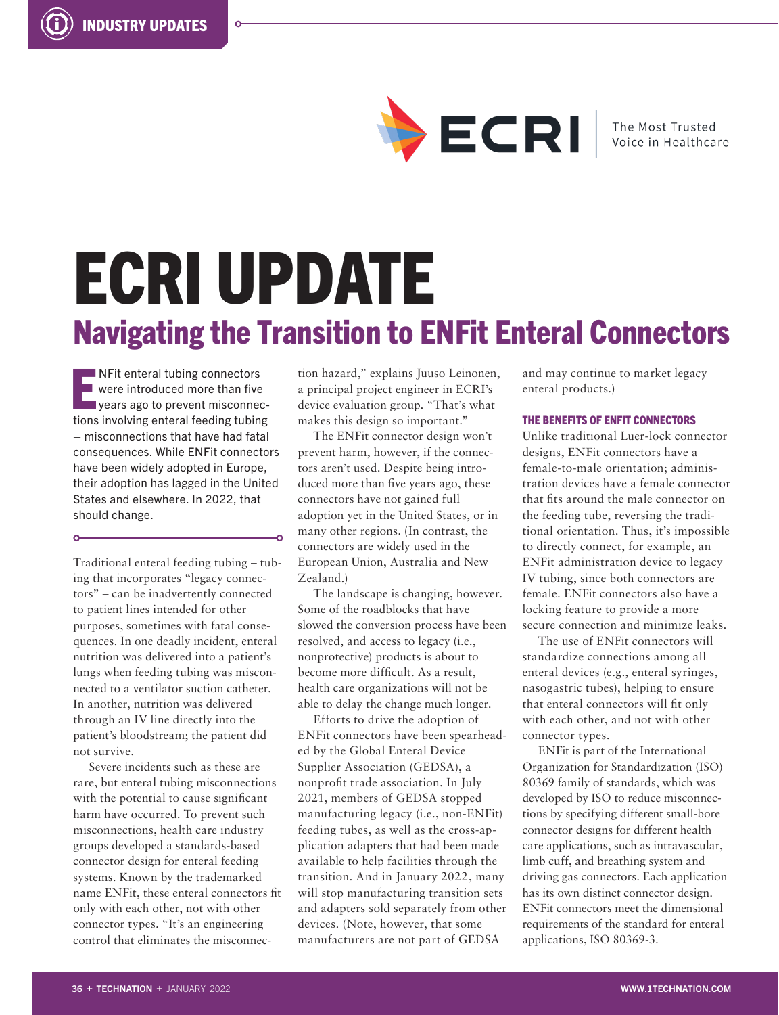

The Most Trusted Voice in Healthcare

# ECRI UPDATE Navigating the Transition to ENFit Enteral Connectors

E **NFit enteral tubing connectors** were introduced more than five years ago to prevent misconnections involving enteral feeding tubing – misconnections that have had fatal consequences. While ENFit connectors have been widely adopted in Europe, their adoption has lagged in the United States and elsewhere. In 2022, that should change.

 $\sim$ 

Traditional enteral feeding tubing – tubing that incorporates "legacy connectors" – can be inadvertently connected to patient lines intended for other purposes, sometimes with fatal consequences. In one deadly incident, enteral nutrition was delivered into a patient's lungs when feeding tubing was misconnected to a ventilator suction catheter. In another, nutrition was delivered through an IV line directly into the patient's bloodstream; the patient did not survive.

Severe incidents such as these are rare, but enteral tubing misconnections with the potential to cause significant harm have occurred. To prevent such misconnections, health care industry groups developed a standards-based connector design for enteral feeding systems. Known by the trademarked name ENFit, these enteral connectors fit only with each other, not with other connector types. "It's an engineering control that eliminates the misconnection hazard," explains Juuso Leinonen, a principal project engineer in ECRI's device evaluation group. "That's what makes this design so important."

The ENFit connector design won't prevent harm, however, if the connectors aren't used. Despite being introduced more than five years ago, these connectors have not gained full adoption yet in the United States, or in many other regions. (In contrast, the connectors are widely used in the European Union, Australia and New Zealand.)

The landscape is changing, however. Some of the roadblocks that have slowed the conversion process have been resolved, and access to legacy (i.e., nonprotective) products is about to become more difficult. As a result, health care organizations will not be able to delay the change much longer.

Efforts to drive the adoption of ENFit connectors have been spearheaded by the Global Enteral Device Supplier Association (GEDSA), a nonprofit trade association. In July 2021, members of GEDSA stopped manufacturing legacy (i.e., non-ENFit) feeding tubes, as well as the cross-application adapters that had been made available to help facilities through the transition. And in January 2022, many will stop manufacturing transition sets and adapters sold separately from other devices. (Note, however, that some manufacturers are not part of GEDSA

and may continue to market legacy enteral products.)

## THE BENEFITS OF ENFIT CONNECTORS

Unlike traditional Luer-lock connector designs, ENFit connectors have a female-to-male orientation; administration devices have a female connector that fits around the male connector on the feeding tube, reversing the traditional orientation. Thus, it's impossible to directly connect, for example, an ENFit administration device to legacy IV tubing, since both connectors are female. ENFit connectors also have a locking feature to provide a more secure connection and minimize leaks.

The use of ENFit connectors will standardize connections among all enteral devices (e.g., enteral syringes, nasogastric tubes), helping to ensure that enteral connectors will fit only with each other, and not with other connector types.

ENFit is part of the International Organization for Standardization (ISO) 80369 family of standards, which was developed by ISO to reduce misconnections by specifying different small-bore connector designs for different health care applications, such as intravascular, limb cuff, and breathing system and driving gas connectors. Each application has its own distinct connector design. ENFit connectors meet the dimensional requirements of the standard for enteral applications, ISO 80369-3.